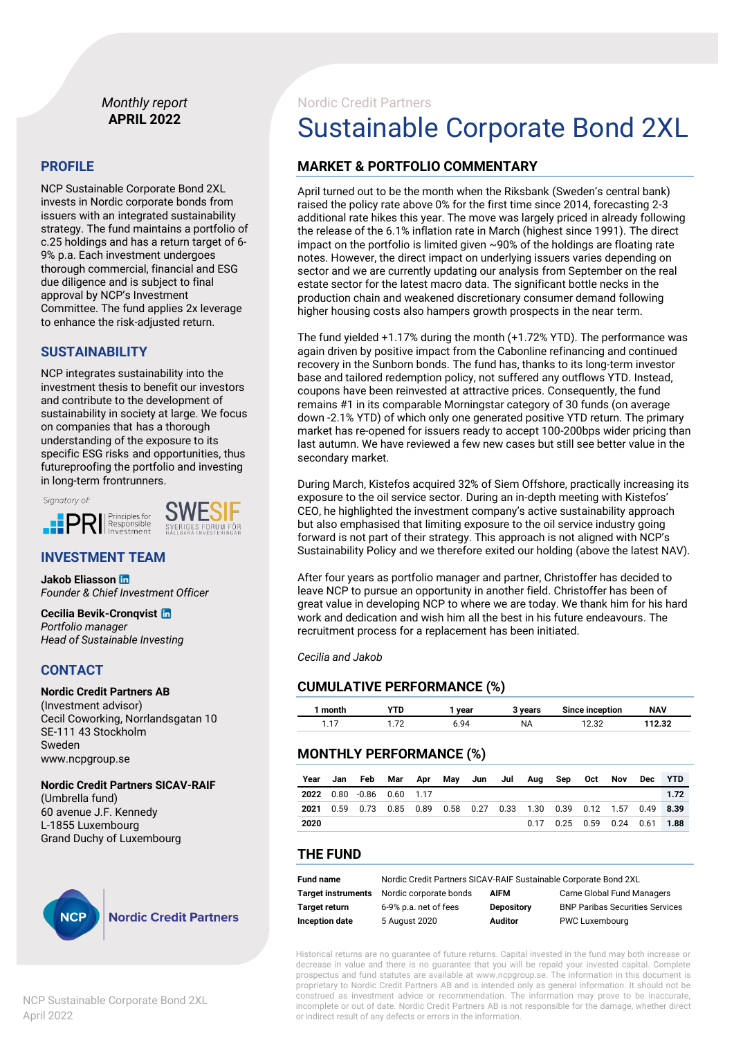#### *Monthly report* **APRIL 2022**

#### **PROFILE**

NCP Sustainable Corporate Bond 2XL invests in Nordic corporate bonds from issuers with an integrated sustainability strategy. The fund maintains a portfolio of c.25 holdings and has a return target of 6- 9% p.a. Each investment undergoes thorough commercial, financial and ESG due diligence and is subject to final approval by NCP's Investment Committee. The fund applies 2x leverage to enhance the risk-adjusted return.

#### **SUSTAINABILITY**

NCP integrates sustainability into the investment thesis to benefit our investors and contribute to the development of sustainability in society at large. We focus on companies that has a thorough understanding of the exposure to its specific ESG risks and opportunities, thus futureproofing the portfolio and investing in long-term frontrunners.





#### **INVESTMENT TEAM**

**Jakob Eliasson**  *Founder & Chief Investment Officer*

#### **Cecilia Bevik-Cronqvist**

*Portfolio manager Head of Sustainable Investing*

#### **CONTACT**

**Nordic Credit Partners AB** (Investment advisor) Cecil Coworking, Norrlandsgatan 10 SE-111 43 Stockholm Sweden www.ncpgroup.se

#### **Nordic Credit Partners SICAV-RAIF**

(Umbrella fund) 60 avenue J.F. Kennedy L-1855 Luxembourg Grand Duchy of Luxembourg



#### **Nordic Credit Partners**

NCP Sustainable Corporate Bond 2XL April 2022

## Nordic Credit Partners Sustainable Corporate Bond 2XL

#### **MARKET & PORTFOLIO COMMENTARY**

April turned out to be the month when the Riksbank (Sweden's central bank) raised the policy rate above 0% for the first time since 2014, forecasting 2-3 additional rate hikes this year. The move was largely priced in already following the release of the 6.1% inflation rate in March (highest since 1991). The direct impact on the portfolio is limited given ~90% of the holdings are floating rate notes. However, the direct impact on underlying issuers varies depending on sector and we are currently updating our analysis from September on the real estate sector for the latest macro data. The significant bottle necks in the production chain and weakened discretionary consumer demand following higher housing costs also hampers growth prospects in the near term.

The fund yielded +1.17% during the month (+1.72% YTD). The performance was again driven by positive impact from the Cabonline refinancing and continued recovery in the Sunborn bonds. The fund has, thanks to its long-term investor base and tailored redemption policy, not suffered any outflows YTD. Instead, coupons have been reinvested at attractive prices. Consequently, the fund remains #1 in its comparable Morningstar category of 30 funds (on average down -2.1% YTD) of which only one generated positive YTD return. The primary market has re-opened for issuers ready to accept 100-200bps wider pricing than last autumn. We have reviewed a few new cases but still see better value in the secondary market.

During March, Kistefos acquired 32% of Siem Offshore, practically increasing its exposure to the oil service sector. During an in-depth meeting with Kistefos' CEO, he highlighted the investment company's active sustainability approach but also emphasised that limiting exposure to the oil service industry going forward is not part of their strategy. This approach is not aligned with NCP's Sustainability Policy and we therefore exited our holding (above the latest NAV).

After four years as portfolio manager and partner, Christoffer has decided to leave NCP to pursue an opportunity in another field. Christoffer has been of great value in developing NCP to where we are today. We thank him for his hard work and dedication and wish him all the best in his future endeavours. The recruitment process for a replacement has been initiated.

*Cecilia and Jakob*

#### **CUMULATIVE PERFORMANCE (%)**

| month         |   | vear | vears | Since inception | <b>NAV</b> |
|---------------|---|------|-------|-----------------|------------|
| $\rightarrow$ | ⇁ | 94   | ΝA    | n nr            | 2.32       |

#### **MONTHLY PERFORMANCE (%)**

| Year | Jan Feb                                                                      | Mar Apr May Jun Jul Aug |  |  | <b>Sep</b>                      | Oct | Nov | Dec | <b>YTD</b> |
|------|------------------------------------------------------------------------------|-------------------------|--|--|---------------------------------|-----|-----|-----|------------|
|      | 2022 0.80 -0.86 0.60 1.17                                                    |                         |  |  |                                 |     |     |     | 1.72       |
| 2021 | 0.59  0.73  0.85  0.89  0.58  0.27  0.33  1.30  0.39  0.12  1.57  0.49  8.39 |                         |  |  |                                 |     |     |     |            |
| 2020 |                                                                              |                         |  |  | $0.17$ 0.25 0.59 0.24 0.61 1.88 |     |     |     |            |

#### **THE FUND**

| <b>Fund name</b> | Nordic Credit Partners SICAV-RAIF Sustainable Corporate Bond 2XL |                   |                                        |  |  |  |
|------------------|------------------------------------------------------------------|-------------------|----------------------------------------|--|--|--|
|                  | <b>Target instruments</b> Nordic corporate bonds                 | AIFM              | <b>Carne Global Fund Managers</b>      |  |  |  |
| Target return    | 6-9% p.a. net of fees                                            | <b>Depository</b> | <b>BNP Paribas Securities Services</b> |  |  |  |
| Inception date   | 5 August 2020                                                    | <b>Auditor</b>    | <b>PWC Luxembourg</b>                  |  |  |  |

Historical returns are no guarantee of future returns. Capital invested in the fund may both increase or decrease in value and there is no guarantee that you will be repaid your invested capital. Complete prospectus and fund statutes are available at www.ncpgroup.se. The information in this document is proprietary to Nordic Credit Partners AB and is intended only as general information. It should not be construed as investment advice or recommendation. The information may prove to be inaccurate, incomplete or out of date. Nordic Credit Partners AB is not responsible for the damage, whether direct or indirect result of any defects or errors in the information.